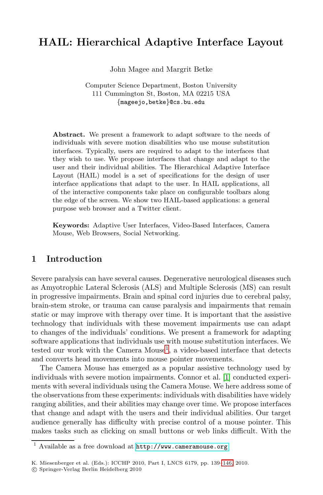# **HAIL: Hierarchical Adaptive Interface Layout**

John Magee and Margrit Betke

Computer Science Department, Boston University 111 Cummington St, Boston, MA 02215 USA *{*mageejo,betke*}*@cs.bu.edu

**Abstract.** We present a framework to adapt software to the needs of individuals with severe motion disabilities who use mouse substitution interfaces. Typically, users are required to adapt to the interfaces that they wish to use. We propose interfaces that change and adapt to the user and their individual abilities. The Hierarchical Adaptive Interface Layout (HAIL) model is a set of specifications for the design of user interface applications that adapt to the user. In HAIL applications, all of the interactive components take place on configurable toolbars along the edge of the screen. We show two HAIL-based applications: a general purpose web browser and a Twitter client.

**Keywords:** Adaptive User Interfaces, Video-Based Interfaces, Camera Mouse, Web Browsers, Social Networking.

### **1 Introduction**

Severe paralysis can h[av](#page-0-0)e several causes. Degenerative neurological diseases such as Amyotrophic Lateral Sclerosis (ALS) and Multiple Sclerosis (MS) can result in progressive impairments. Brain and spinal cord injuries due to cerebral palsy, brain-stem stroke, or trauma can cause [pa](#page-7-0)ralysis and impairments that remain static or may improve with therapy over time. It is important that the assistive technology that individuals with these movement impairments use can adapt to changes of the individuals' conditions. We present a framework for adapting software applications that individuals use with mouse substitution interfaces. We tested our work with the Camera  $M$ ouse<sup>1</sup>, a video-based interface that detects and converts head movements into mouse pointer movements.

<span id="page-0-0"></span>The Camera Mouse has emerged as a popular assistive technology used by individuals [with severe motion impairmen](http://www.cameramouse.org)ts. Connor et al. [1] conducted experiments with several individuals using the Camera Mouse. We here address some of the observations from these experiment[s:](#page-7-1) [ind](#page-7-1)ividuals with disabilities have widely ranging abilities, and their abilities may change over time. We propose interfaces that change and adapt with the users and their individual abilities. Our target audience generally has difficulty with precise control of a mouse pointer. This makes tasks such as clicking on small buttons or web links difficult. With the

 $1$  Available as a free download at  $http://www.cameramouse.org$ 

K. Miesenberger et al. (Eds.): ICCHP 2010, Part I, LNCS 6179, pp. 139–146, 2010.

<sup>-</sup>c Springer-Verlag Berlin Heidelberg 2010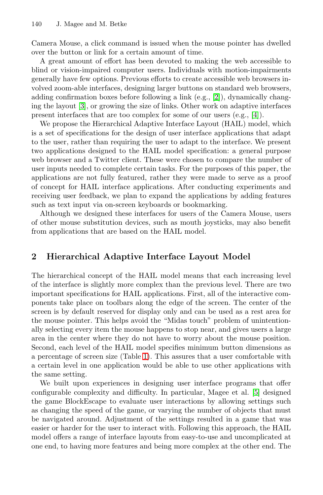Camera Mouse, a click command is issued when [th](#page-7-2)e mouse pointer has dwelled over the button or link for a certain amount of time.

A great amount of effort has been devoted to making the web accessible to blind or vision-impaired computer users. Individuals with motion-impairments generally have few options. Previous efforts to create accessible web browsers involved zoom-able interfaces, designing larger buttons on standard web browsers, adding confirmation boxes before following a link (e.g., [2]), dynamically changing the layout [3], or growing the size of links. Other work on adaptive interfaces present interfaces that are too complex for some of our users (e.g., [4]).

We propose the Hierarchical Adaptive Interface Layout (HAIL) model, which is a set of specifications for the design of user interface applications that adapt to the user, rather than requiring the user to adapt to the interface. We present two applications designed to the HAIL model specification: a general purpose web browser and a Twitter client. These were chosen to compare the number of user inputs needed to complete certain tasks. For the purposes of this paper, the applications are not fully featured, rather they were made to serve as a proof of concept for HAIL interface applications. After conducting experiments and receiving user feedback, we plan to expand the applications by adding features such as text input via on-screen keyboards or bookmarking.

Although we designed these interfaces for users of the Camera Mouse, users of other mouse substitution devices, such as mouth joysticks, may also benefit from applications that are based on the HAIL model.

# **2 Hierarchical Adaptive Interface Layout Model**

The hierarchical concept of the HAIL model means that each increasing level of the interfac[e is](#page-2-0) slightly more complex than the previous level. There are two important specifications for HAIL applications. First, all of the interactive components take place on toolbars along the edge of the screen. The center of the screen is by default reserved for display only and can be used as a rest area for the mouse pointer. This helps avoid the "Midas [tou](#page-7-3)ch" problem of unintentionally selecting every item the mouse happens to stop near, and gives users a large area in the center where they do not have to worry about the mouse position. Second, each level of the HAIL model specifies minimum button dimensions as a percentage of screen size (Table 1). This assures that a user comfortable with a certain level in one application would be able to use other applications with the same setting.

We built upon experiences in designing user interface programs that offer configurable complexity and difficulty. In particular, Magee et al. [5] designed the game BlockEscape to evaluate user interactions by allowing settings such as changing the speed of the game, or varying the number of objects that must be navigated around. Adjustment of the settings resulted in a game that was easier or harder for the user to interact with. Following this approach, the HAIL model offers a range of interface layouts from easy-to-use and uncomplicated at one end, to having more features and being more complex at the other end. The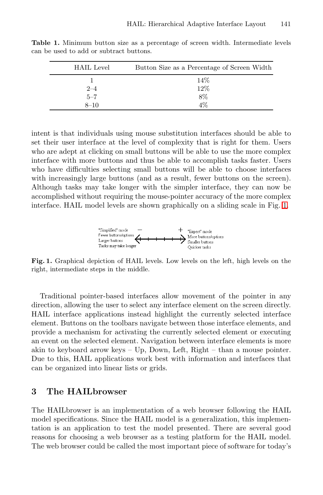<span id="page-2-0"></span>**Table 1.** Minimum button size as a percentage of screen width. Intermediate levels can be used to add or subtract buttons.

| <b>HAIL</b> Level | Button Size as a Percentage of Screen Width |
|-------------------|---------------------------------------------|
|                   | 14\%                                        |
| $2 - 4$           | 12%                                         |
| $5 - 7$           | 8%                                          |
| $8 - 10$          | 4%                                          |

intent is that individuals using mouse substitution interf[ace](#page-2-1)s should be able to set their user interface at the level of complexity that is right for them. Users who are adept at clicking on small buttons will be able to use the more complex interface with more buttons and thus be able to accomplish tasks faster. Users who have difficulties selecting small buttons will be able to choose interfaces with increasingly large buttons (and as a result, fewer buttons on the screen). Although tasks may take longer with the simpler interface, they can now be accomplished without requiring the mouse-pointer accuracy of the more complex interface. HAIL model levels are shown graphically on a sliding scale in Fig. 1.



<span id="page-2-1"></span>**Fig. 1.** Graphical depiction of HAIL levels. Low levels on the left, high levels on the right, intermediate steps in the middle.

Traditional pointer-based interfaces allow movement of the pointer in any direction, allowing the user to select any interface element on the screen directly. HAIL interface applications instead highlight the currently selected interface element. Buttons on the toolbars navigate between those interface elements, and provide a mechanism for activating the currently selected element or executing an event on the selected element. Navigation between interface elements is more akin to keyboard arrow keys – Up, Down, Left, Right – than a mouse pointer. Due to this, HAIL applications work best with information and interfaces that can be organized into linear lists or grids.

### **3 The HAILbrowser**

The HAILbrowser is an implementation of a web browser following the HAIL model specifications. Since the HAIL model is a generalization, this implementation is an application to test the model presented. There are several good reasons for choosing a web browser as a testing platform for the HAIL model. The web browser could be called the most important piece of software for today's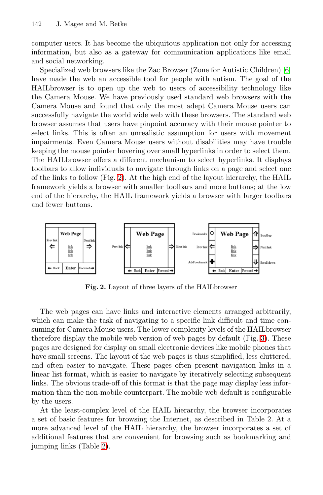computer users. It has become the ubiquitous application not only for accessing information, but also as a gateway for communication applications like email and social networking.

Specialized web browsers like the Zac Browser (Zone for Autistic Children) [6] have made the web an accessible tool for people with autism. The goal of the HAILbrowser is to open up the web to users of accessibility technology like the Camera Mouse. We have previously used standard web browsers with the Camer[a M](#page-3-0)ouse and found that only the most adept Camera Mouse users can successfully navigate the world wide web with these browsers. The standard web browser assumes that users have pinpoint accuracy with their mouse pointer to select links. This is often an unrealistic assumption for users with movement impairments. Even Camera Mouse users without disabilities may have trouble keeping the mouse pointer hovering over small hyperlinks in order to select them. The HAILbrowser offers a different mechanism to select hyperlinks. It displays toolbars to allow individuals to navigate through links on a page and select one of the links to follow (Fig. 2). At the high end of the layout hierarchy, the HAIL framework yields a browser with smaller toolbars and more buttons; at the low end of the hierarchy, the HAIL framework yields a browser with larger toolbars and fewer buttons.

<span id="page-3-0"></span>

**Fig. 2.** Layout of three layers of the HAILbrowser

The web pages can have links and interactive elements arranged arbitrarily, which can make the task of navigating to a specific link difficult and time consuming for Camera Mouse users. The lower complexity levels of the HAILbrowser therefore display the mobile web version of web pages by default (Fig. 3). These pages are designed for display on small electronic devices like mobile phones that have small screens. The layout of the web pages is thus simplified, less cluttered, and often easier to navigate. These pages often present navigation links in a li[nea](#page-4-0)r list format, which is easier to navigate by iteratively selecting subsequent links. The obvious trade-off of this format is that the page may display less information than the non-mobile counterpart. The mobile web default is configurable by the users.

At the least-complex level of the HAIL hierarchy, the browser incorporates a set of basic features for browsing the Internet, as described in Table 2. At a more advanced level of the HAIL hierarchy, the browser incorporates a set of additional features that are convenient for browsing such as bookmarking and jumping links (Table 2).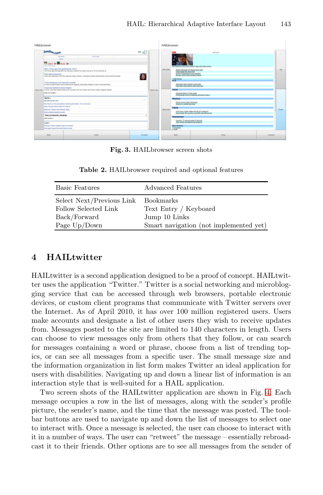<span id="page-4-0"></span>

**Fig. 3.** HAILbrowser screen shots

**Table 2.** HAILbrowser required and optional features

| <b>Basic Features</b>     | Advanced Features                      |
|---------------------------|----------------------------------------|
| Select Next/Previous Link | <b>Bookmarks</b>                       |
| Follow Selected Link      | Text Entry / Keyboard                  |
| Back/Forward              | Jump 10 Links                          |
| Page Up/Down              | Smart navigation (not implemented yet) |

# **4 HAILtwitter**

HAILtwitter is a second application designed to be a proof of concept. HAILtwitter uses the application "Twitter." Twitter is a social networking and microblogging service that can be accessed through web browsers, portable electronic devices, or custom client programs that communicate with Twitter servers over the Internet. As of April 2010, it has over 100 million registered users. Users make accounts and designate a list of other users t[hey](#page-5-0) wish to receive updates from. Messages posted to the site are limited to 140 characters in length. Users can choose to view messages only from others that they follow, or can search for messages containing a word or phrase, choose from a list of trending topics, or can see all messages from a specific user. The small message size and the information organization in list form makes Twitter an ideal application for users with disabilities. Navigating up and down a linear list of information is an interaction style that is well-suited for a HAIL application.

Two screen shots of the HAILtwitter application are shown in Fig. 4. Each message occupies a row in the list of messages, along with the sender's profile picture, the sender's name, and the time that the message was posted. The toolbar buttons are used to navigate up and down the list of messages to select one to interact with. Once a message is selected, the user can choose to interact with it in a number of ways. The user can "retweet" the message – essentially rebroadcast it to their friends. Other options are to see all messages from the sender of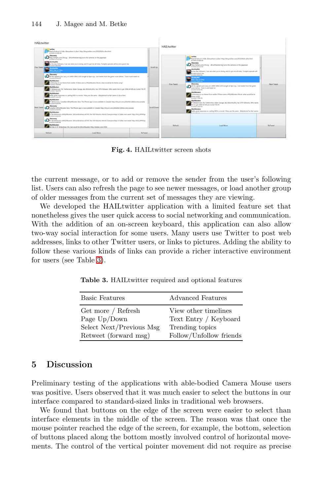<span id="page-5-0"></span>

**Fig. 4.** HAILtwitter screen shots

the current message, or to add or remove the sender from the user's following l[ist](#page-5-1). Users can also refresh the page to see newer messages, or load another group of older messages from the current set of messages they are viewing.

<span id="page-5-1"></span>We developed the HAILtwitter application with a limited feature set that nonetheless gives the user quick access to social networking and communication. With the addition of an on-screen keyboard, this application can also allow two-way social interaction for some users. Many users use Twitter to post web addresses, links to other Twitter users, or links to pictures. Adding the ability to follow these various kinds of links can provide a richer interactive environment for users (see Table 3).

**Table 3.** HAILtwitter required and optional features

| Advanced Features                             |
|-----------------------------------------------|
| View other timelines<br>Text Entry / Keyboard |
| Trending topics<br>Follow/Unfollow friends    |
|                                               |

# **5 Discussion**

Preliminary testing of the applications with able-bodied Camera Mouse users was positive. Users observed that it was much easier to select the buttons in our interface compared to standard-sized links in traditional web browsers.

We found that buttons on the edge of the screen were easier to select than interface elements in the middle of the screen. The reason was that once the mouse pointer reached the edge of the screen, for example, the bottom, selection of buttons placed along the bottom mostly involved control of horizontal movements. The control of the vertical pointer movement did not require as precise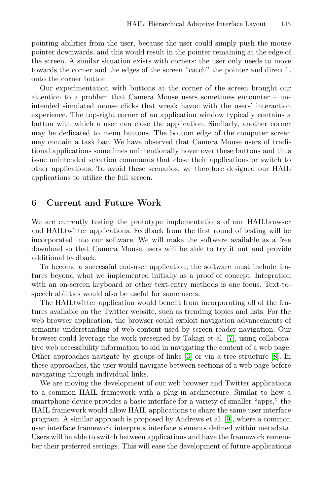pointing abilities from the user, because the user could simply push the mouse pointer downwards, and this would result in the pointer remaining at the edge of the screen. A similar situation exists with corners: the user only needs to move towards the corner and the edges of the screen "catch" the pointer and direct it onto the corner button.

Our experimentation with buttons at the corner of the screen brought our attention to a problem that Camera Mouse users sometimes encounter – unintended simulated mouse clicks that wreak havoc with the users' interaction experience. The top-right corner of an application window typically contains a button with which a user can close the application. Similarly, another corner may be dedicated to menu buttons. The bottom edge of the computer screen may contain a task bar. We have observed that Camera Mouse users of traditional applications sometimes unintentionally hover over these buttons and thus issue unintended selection commands that close their applications or switch to other applications. To avoid these scenarios, we therefore designed our HAIL applications to utilize the full screen.

## **6 Current and Future Work**

We are currently testing the prototype implementations of our HAILbrowser and HAILtwitter applications. Feedback from the first round of testing will be incorporated into our software. We will make the software available as a free download so that Camera Mouse users will be able to try it out and provide additional feedback.

To become a successful end-user appli[ca](#page-7-4)tion, the software must include features beyond what we implemented initially as a proof of concept. Integration with an on-screen keyboard [o](#page-7-5)r other text-entry meth[ods](#page-7-6) is one focus. Text-tospeech abilities would also be useful for some users.

The HAILtwitter application would benefit from incorporating all of the features available on the Twitter website, such as trending topics and lists. For the web browser application, the browser could exploit navigation advancements of semantic understanding of web content used by screen reader navigation. Our browser could leverage the work presented by Takagi et al. [7], using collaborative web accessibility information to aid [in](#page-7-7) navigating the content of a web page. Other approaches navigate by groups of links [3] or via a tree structure [8]. In these approaches, the user would navigate between sections of a web page before navigating through individual links.

We are moving the development of our web browser and Twitter applications to a common HAIL framework with a plug-in architecture. Similar to how a smartphone device provides a basic interface for a variety of smaller "apps," the HAIL framework would allow HAIL applications to share the same user interface program. A similar approach is proposed by Andrews et al. [9], where a common user interface framework interprets interface elements defined within metadata. Users will be able to switch between applications and have the framework remember their preferred settings. This will ease the development of future applications